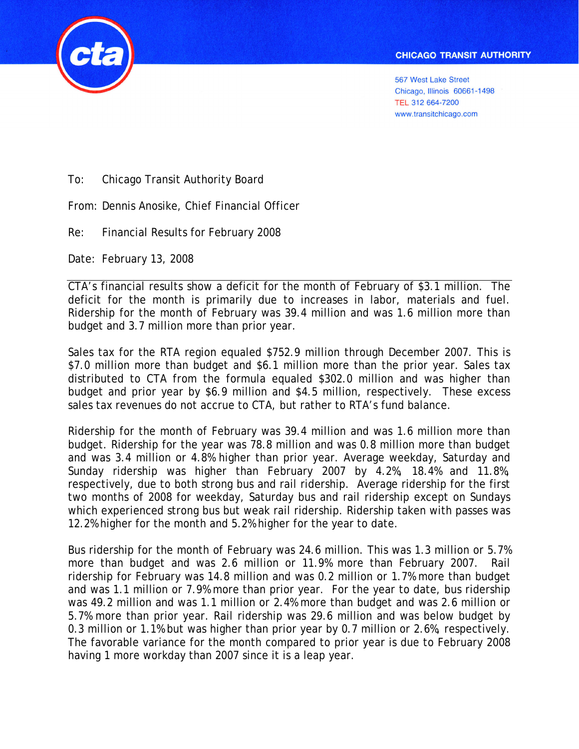

ĺ

To: Chicago Transit Authority Board

From: Dennis Anosike, Chief Financial Officer

Re: Financial Results for February 2008

Date: February 13, 2008

CTA's financial results show a deficit for the month of February of \$3.1 million. The deficit for the month is primarily due to increases in labor, materials and fuel. Ridership for the month of February was 39.4 million and was 1.6 million more than budget and 3.7 million more than prior year.

Sales tax for the RTA region equaled \$752.9 million through December 2007. This is \$7.0 million more than budget and \$6.1 million more than the prior year. Sales tax distributed to CTA from the formula equaled \$302.0 million and was higher than budget and prior year by \$6.9 million and \$4.5 million, respectively. These excess sales tax revenues do not accrue to CTA, but rather to RTA's fund balance.

Ridership for the month of February was 39.4 million and was 1.6 million more than budget. Ridership for the year was 78.8 million and was 0.8 million more than budget and was 3.4 million or 4.8% higher than prior year. Average weekday, Saturday and Sunday ridership was higher than February 2007 by 4.2%, 18.4% and 11.8%, respectively, due to both strong bus and rail ridership. Average ridership for the first two months of 2008 for weekday, Saturday bus and rail ridership except on Sundays which experienced strong bus but weak rail ridership. Ridership taken with passes was 12.2% higher for the month and 5.2% higher for the year to date.

Bus ridership for the month of February was 24.6 million. This was 1.3 million or 5.7% more than budget and was 2.6 million or 11.9% more than February 2007. Rail ridership for February was 14.8 million and was 0.2 million or 1.7% more than budget and was 1.1 million or 7.9% more than prior year. For the year to date, bus ridership was 49.2 million and was 1.1 million or 2.4% more than budget and was 2.6 million or 5.7% more than prior year. Rail ridership was 29.6 million and was below budget by 0.3 million or 1.1% but was higher than prior year by 0.7 million or 2.6%, respectively. The favorable variance for the month compared to prior year is due to February 2008 having 1 more workday than 2007 since it is a leap year.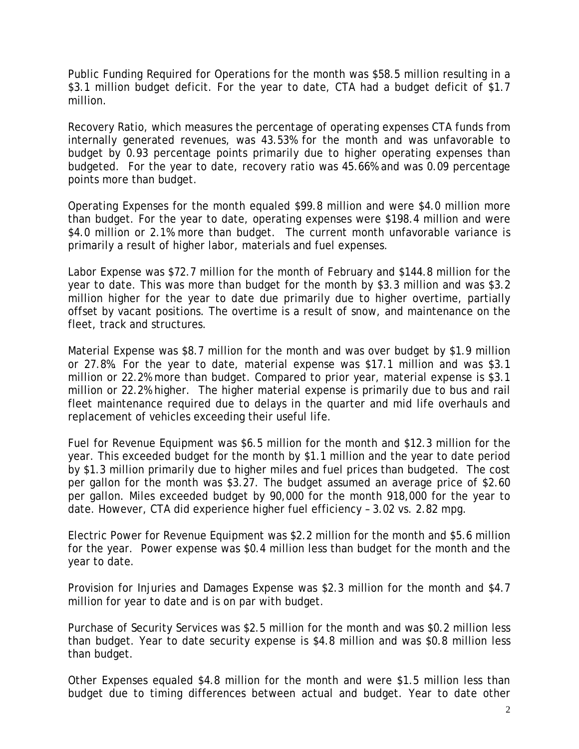Public Funding Required for Operations for the month was \$58.5 million resulting in a \$3.1 million budget deficit. For the year to date, CTA had a budget deficit of \$1.7 million.

Recovery Ratio, which measures the percentage of operating expenses CTA funds from internally generated revenues, was 43.53% for the month and was unfavorable to budget by 0.93 percentage points primarily due to higher operating expenses than budgeted. For the year to date, recovery ratio was 45.66% and was 0.09 percentage points more than budget.

Operating Expenses for the month equaled \$99.8 million and were \$4.0 million more than budget. For the year to date, operating expenses were \$198.4 million and were \$4.0 million or 2.1% more than budget. The current month unfavorable variance is primarily a result of higher labor, materials and fuel expenses.

Labor Expense was \$72.7 million for the month of February and \$144.8 million for the year to date. This was more than budget for the month by \$3.3 million and was \$3.2 million higher for the year to date due primarily due to higher overtime, partially offset by vacant positions. The overtime is a result of snow, and maintenance on the fleet, track and structures.

Material Expense was \$8.7 million for the month and was over budget by \$1.9 million or 27.8%. For the year to date, material expense was \$17.1 million and was \$3.1 million or 22.2% more than budget. Compared to prior year, material expense is \$3.1 million or 22.2% higher. The higher material expense is primarily due to bus and rail fleet maintenance required due to delays in the quarter and mid life overhauls and replacement of vehicles exceeding their useful life.

Fuel for Revenue Equipment was \$6.5 million for the month and \$12.3 million for the year. This exceeded budget for the month by \$1.1 million and the year to date period by \$1.3 million primarily due to higher miles and fuel prices than budgeted. The cost per gallon for the month was \$3.27. The budget assumed an average price of \$2.60 per gallon. Miles exceeded budget by 90,000 for the month 918,000 for the year to date. However, CTA did experience higher fuel efficiency – 3.02 vs. 2.82 mpg.

Electric Power for Revenue Equipment was \$2.2 million for the month and \$5.6 million for the year. Power expense was \$0.4 million less than budget for the month and the year to date.

Provision for Injuries and Damages Expense was \$2.3 million for the month and \$4.7 million for year to date and is on par with budget.

Purchase of Security Services was \$2.5 million for the month and was \$0.2 million less than budget. Year to date security expense is \$4.8 million and was \$0.8 million less than budget.

Other Expenses equaled \$4.8 million for the month and were \$1.5 million less than budget due to timing differences between actual and budget. Year to date other